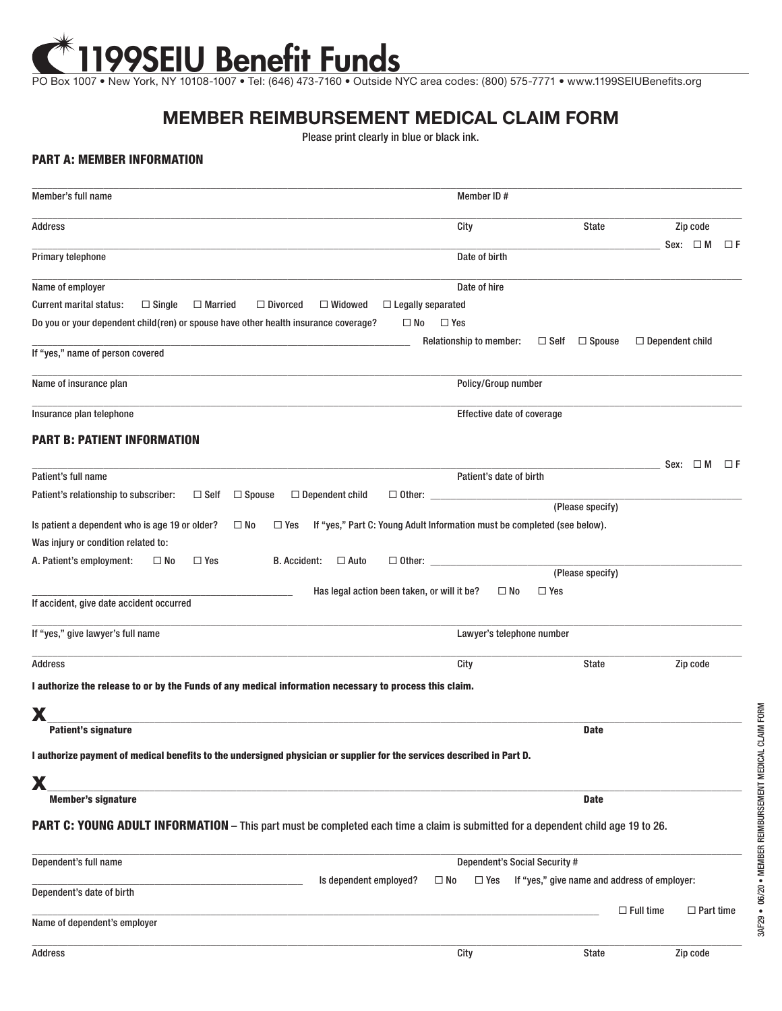## PO Box 1007 • New York, NY 10108-1007 • Tel: (646) 473-7160 • Outside NYC area codes: (800) 575-7771 • www.1199SEIUBenefits.org

## **MEMBER REIMBURSEMENT MEDICAL CLAIM FORM**

Please print clearly in blue or black ink.

## PART A: MEMBER INFORMATION

| Member's full name                                                                                                                      | Member ID#                                                                |                                              |
|-----------------------------------------------------------------------------------------------------------------------------------------|---------------------------------------------------------------------------|----------------------------------------------|
| Address                                                                                                                                 | City                                                                      | <b>State</b><br>Zip code                     |
|                                                                                                                                         |                                                                           | Sex: $\Box$ M<br>$\Box F$                    |
| Primary telephone                                                                                                                       | Date of birth                                                             |                                              |
| Name of employer                                                                                                                        | Date of hire                                                              |                                              |
| <b>Current marital status:</b><br>$\Box$ Single<br>$\Box$ Widowed<br>$\Box$ Married<br>$\Box$ Divorced                                  | $\Box$ Legally separated                                                  |                                              |
| Do you or your dependent child(ren) or spouse have other health insurance coverage?                                                     | $\square$ No<br>$\Box$ Yes                                                |                                              |
| If "yes," name of person covered                                                                                                        | <b>Relationship to member:</b><br>$\Box$ Self                             | $\Box$ Spouse<br>$\Box$ Dependent child      |
|                                                                                                                                         |                                                                           |                                              |
| Name of insurance plan                                                                                                                  | Policy/Group number                                                       |                                              |
| Insurance plan telephone                                                                                                                | Effective date of coverage                                                |                                              |
| <b>PART B: PATIENT INFORMATION</b>                                                                                                      |                                                                           |                                              |
|                                                                                                                                         |                                                                           | Sex: $\Box$ M<br>$\Box F$                    |
| Patient's full name                                                                                                                     | Patient's date of birth                                                   |                                              |
| $\Box$ Spouse<br>Patient's relationship to subscriber:<br>$\Box$ Self<br>$\Box$ Dependent child                                         | $\Box$ Other: $\Box$                                                      | (Please specify)                             |
| Is patient a dependent who is age 19 or older?<br>$\square$ No<br>$\Box$ Yes                                                            | If "yes," Part C: Young Adult Information must be completed (see below).  |                                              |
| Was injury or condition related to:                                                                                                     |                                                                           |                                              |
| $\Box$ Yes<br><b>B.</b> Accident:<br>$\square$ No<br>$\Box$ Auto                                                                        |                                                                           |                                              |
| A. Patient's employment:                                                                                                                | $\Box$ Other: $\Box$                                                      | (Please specify)                             |
|                                                                                                                                         | Has legal action been taken, or will it be?<br>$\square$ No<br>$\Box$ Yes |                                              |
| If accident, give date accident occurred                                                                                                |                                                                           |                                              |
| If "yes," give lawyer's full name                                                                                                       | Lawyer's telephone number                                                 |                                              |
| Address                                                                                                                                 | City                                                                      | Zip code<br>State                            |
| I authorize the release to or by the Funds of any medical information necessary to process this claim.                                  |                                                                           |                                              |
|                                                                                                                                         |                                                                           |                                              |
| Χ<br><b>Patient's signature</b>                                                                                                         |                                                                           | <b>Date</b>                                  |
| I authorize payment of medical benefits to the undersigned physician or supplier for the services described in Part D.                  |                                                                           |                                              |
|                                                                                                                                         |                                                                           |                                              |
| X<br><b>Member's signature</b>                                                                                                          |                                                                           | <b>Date</b>                                  |
| <b>PART C: YOUNG ADULT INFORMATION</b> – This part must be completed each time a claim is submitted for a dependent child age 19 to 26. |                                                                           |                                              |
|                                                                                                                                         |                                                                           |                                              |
| Dependent's full name                                                                                                                   | Dependent's Social Security #                                             |                                              |
|                                                                                                                                         | Is dependent employed?<br>$\Box$ Yes<br>$\square$ No                      | If "yes," give name and address of employer: |
| Dependent's date of birth                                                                                                               |                                                                           | $\Box$ Full time<br>$\Box$ Part time         |
| Name of dependent's employer                                                                                                            |                                                                           |                                              |
| Address                                                                                                                                 | City                                                                      | Zip code<br>State                            |